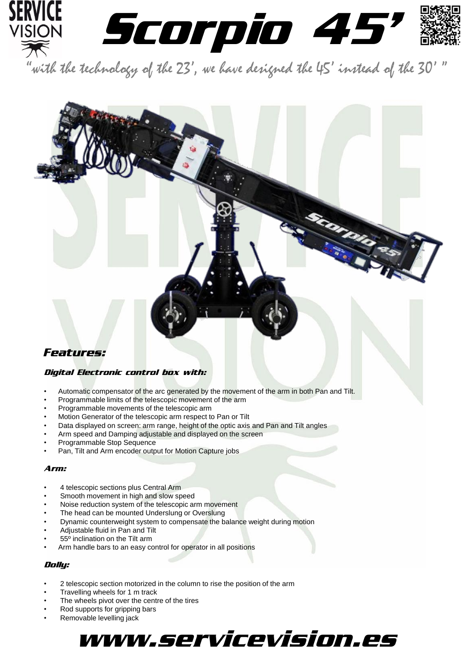

Scorp

### *Features:*

#### Digital Electronic control box with:

- Automatic compensator of the arc generated by the movement of the arm in both Pan and Tilt.
- Programmable limits of the telescopic movement of the arm
- Programmable movements of the telescopic arm
- Motion Generator of the telescopic arm respect to Pan or Tilt
- Data displayed on screen: arm range, height of the optic axis and Pan and Tilt angles
- Arm speed and Damping adjustable and displayed on the screen
- Programmable Stop Sequence
- Pan, Tilt and Arm encoder output for Motion Capture jobs

#### Arm:

- 4 telescopic sections plus Central Arm
- Smooth movement in high and slow speed
- Noise reduction system of the telescopic arm movement
- The head can be mounted Underslung or Overslung
- Dynamic counterweight system to compensate the balance weight during motion
- Adjustable fluid in Pan and Tilt
- 55º inclination on the Tilt arm
- Arm handle bars to an easy control for operator in all positions

#### Dolly:

- 2 telescopic section motorized in the column to rise the position of the arm
- Travelling wheels for 1 m track
- The wheels pivot over the centre of the tires
- Rod supports for gripping bars
- Removable levelling jack

## www.servicevision.es